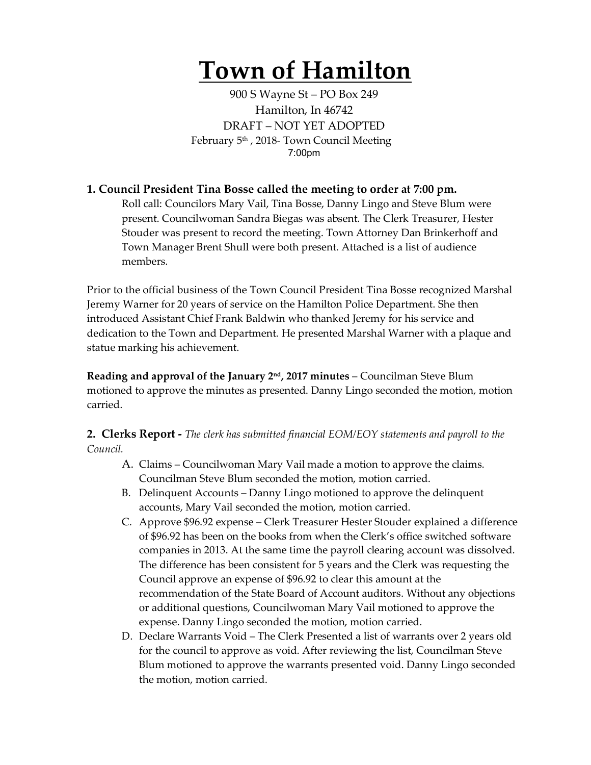# **Town of Hamilton**

900 S Wayne St – PO Box 249 Hamilton, In 46742 DRAFT – NOT YET ADOPTED February 5<sup>th</sup>, 2018- Town Council Meeting 7:00pm

## **1. Council President Tina Bosse called the meeting to order at 7:00 pm.**

Roll call: Councilors Mary Vail, Tina Bosse, Danny Lingo and Steve Blum were present. Councilwoman Sandra Biegas was absent. The Clerk Treasurer, Hester Stouder was present to record the meeting. Town Attorney Dan Brinkerhoff and Town Manager Brent Shull were both present. Attached is a list of audience members.

Prior to the official business of the Town Council President Tina Bosse recognized Marshal Jeremy Warner for 20 years of service on the Hamilton Police Department. She then introduced Assistant Chief Frank Baldwin who thanked Jeremy for his service and dedication to the Town and Department. He presented Marshal Warner with a plaque and statue marking his achievement.

**Reading and approval of the January 2nd, 2017 minutes** – Councilman Steve Blum motioned to approve the minutes as presented. Danny Lingo seconded the motion, motion carried.

**2. Clerks Report -** *The clerk has submitted financial EOM/EOY statements and payroll to the Council.* 

- A. Claims Councilwoman Mary Vail made a motion to approve the claims. Councilman Steve Blum seconded the motion, motion carried.
- B. Delinquent Accounts Danny Lingo motioned to approve the delinquent accounts, Mary Vail seconded the motion, motion carried.
- C. Approve \$96.92 expense Clerk Treasurer Hester Stouder explained a difference of \$96.92 has been on the books from when the Clerk's office switched software companies in 2013. At the same time the payroll clearing account was dissolved. The difference has been consistent for 5 years and the Clerk was requesting the Council approve an expense of \$96.92 to clear this amount at the recommendation of the State Board of Account auditors. Without any objections or additional questions, Councilwoman Mary Vail motioned to approve the expense. Danny Lingo seconded the motion, motion carried.
- D. Declare Warrants Void The Clerk Presented a list of warrants over 2 years old for the council to approve as void. After reviewing the list, Councilman Steve Blum motioned to approve the warrants presented void. Danny Lingo seconded the motion, motion carried.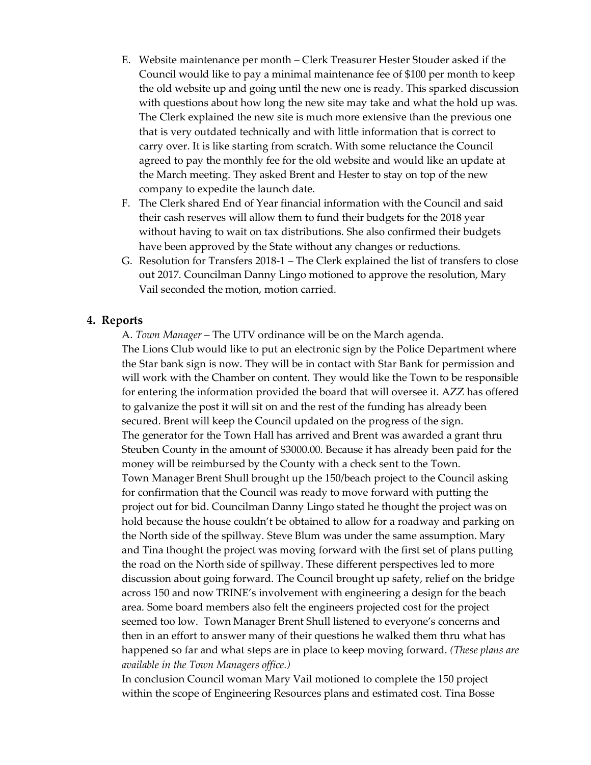- E. Website maintenance per month Clerk Treasurer Hester Stouder asked if the Council would like to pay a minimal maintenance fee of \$100 per month to keep the old website up and going until the new one is ready. This sparked discussion with questions about how long the new site may take and what the hold up was. The Clerk explained the new site is much more extensive than the previous one that is very outdated technically and with little information that is correct to carry over. It is like starting from scratch. With some reluctance the Council agreed to pay the monthly fee for the old website and would like an update at the March meeting. They asked Brent and Hester to stay on top of the new company to expedite the launch date.
- F. The Clerk shared End of Year financial information with the Council and said their cash reserves will allow them to fund their budgets for the 2018 year without having to wait on tax distributions. She also confirmed their budgets have been approved by the State without any changes or reductions.
- G. Resolution for Transfers 2018-1 The Clerk explained the list of transfers to close out 2017. Councilman Danny Lingo motioned to approve the resolution, Mary Vail seconded the motion, motion carried.

### **4. Reports**

A. *Town Manager* – The UTV ordinance will be on the March agenda. The Lions Club would like to put an electronic sign by the Police Department where the Star bank sign is now. They will be in contact with Star Bank for permission and will work with the Chamber on content. They would like the Town to be responsible for entering the information provided the board that will oversee it. AZZ has offered to galvanize the post it will sit on and the rest of the funding has already been secured. Brent will keep the Council updated on the progress of the sign. The generator for the Town Hall has arrived and Brent was awarded a grant thru Steuben County in the amount of \$3000.00. Because it has already been paid for the money will be reimbursed by the County with a check sent to the Town. Town Manager Brent Shull brought up the 150/beach project to the Council asking for confirmation that the Council was ready to move forward with putting the project out for bid. Councilman Danny Lingo stated he thought the project was on hold because the house couldn't be obtained to allow for a roadway and parking on the North side of the spillway. Steve Blum was under the same assumption. Mary and Tina thought the project was moving forward with the first set of plans putting the road on the North side of spillway. These different perspectives led to more discussion about going forward. The Council brought up safety, relief on the bridge across 150 and now TRINE's involvement with engineering a design for the beach area. Some board members also felt the engineers projected cost for the project seemed too low. Town Manager Brent Shull listened to everyone's concerns and then in an effort to answer many of their questions he walked them thru what has happened so far and what steps are in place to keep moving forward. *(These plans are available in the Town Managers office.)*

In conclusion Council woman Mary Vail motioned to complete the 150 project within the scope of Engineering Resources plans and estimated cost. Tina Bosse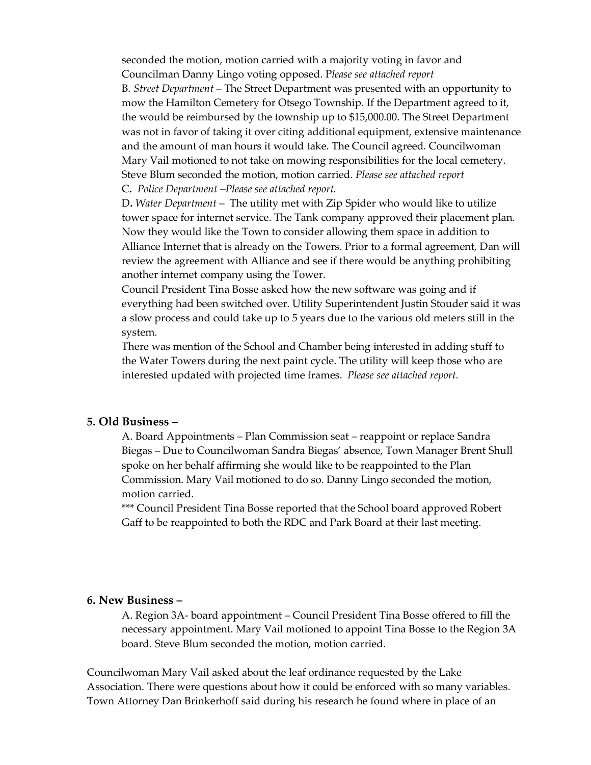seconded the motion, motion carried with a majority voting in favor and Councilman Danny Lingo voting opposed. P*lease see attached report* B*. Street Department* – The Street Department was presented with an opportunity to mow the Hamilton Cemetery for Otsego Township. If the Department agreed to it, the would be reimbursed by the township up to \$15,000.00. The Street Department was not in favor of taking it over citing additional equipment, extensive maintenance and the amount of man hours it would take. The Council agreed. Councilwoman Mary Vail motioned to not take on mowing responsibilities for the local cemetery. Steve Blum seconded the motion, motion carried. *Please see attached report* C**.** *Police Department –Please see attached report.*

D**.** *Water Department* – The utility met with Zip Spider who would like to utilize tower space for internet service. The Tank company approved their placement plan. Now they would like the Town to consider allowing them space in addition to Alliance Internet that is already on the Towers. Prior to a formal agreement, Dan will review the agreement with Alliance and see if there would be anything prohibiting another internet company using the Tower.

Council President Tina Bosse asked how the new software was going and if everything had been switched over. Utility Superintendent Justin Stouder said it was a slow process and could take up to 5 years due to the various old meters still in the system.

There was mention of the School and Chamber being interested in adding stuff to the Water Towers during the next paint cycle. The utility will keep those who are interested updated with projected time frames. *Please see attached report.* 

#### **5. Old Business –**

A. Board Appointments – Plan Commission seat – reappoint or replace Sandra Biegas – Due to Councilwoman Sandra Biegas' absence, Town Manager Brent Shull spoke on her behalf affirming she would like to be reappointed to the Plan Commission. Mary Vail motioned to do so. Danny Lingo seconded the motion, motion carried.

\*\*\* Council President Tina Bosse reported that the School board approved Robert Gaff to be reappointed to both the RDC and Park Board at their last meeting.

#### **6. New Business –**

A. Region 3A- board appointment – Council President Tina Bosse offered to fill the necessary appointment. Mary Vail motioned to appoint Tina Bosse to the Region 3A board. Steve Blum seconded the motion, motion carried.

Councilwoman Mary Vail asked about the leaf ordinance requested by the Lake Association. There were questions about how it could be enforced with so many variables. Town Attorney Dan Brinkerhoff said during his research he found where in place of an